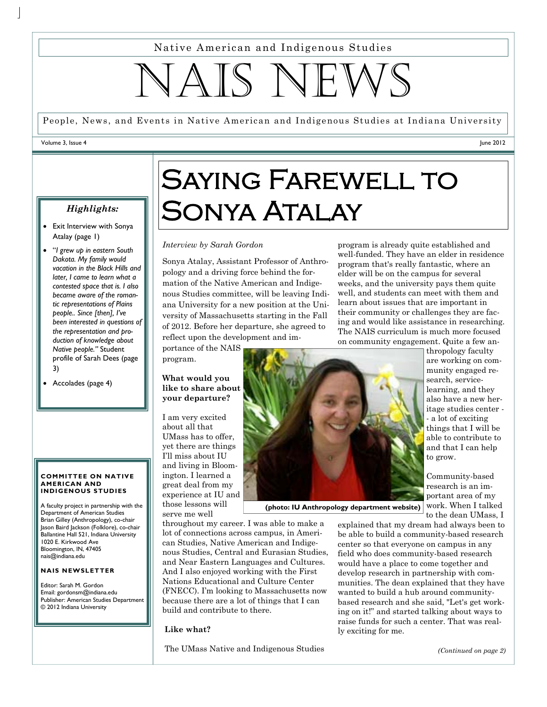Native American and Indigenous Studies

IAIS NE

People, News, and Events in Native American and Indigenous Studies at Indiana University

#### Volume 3, Issue 4

June 2012

### *Highlights:*

- Exit Interview with Sonya Atalay (page 1)
- "*I grew up in eastern South Dakota. My family would vacation in the Black Hills and later, I came to learn what a contested space that is. I also became aware of the romantic representations of Plains people.. Since [then], I've been interested in questions of the representation and production of knowledge about Native people."* Student profile of Sarah Dees (page 3)
- Accolades (page 4)

#### **COMMITTEE ON NATIVE AMERICAN AND INDIGENOUS STUDIES**

A faculty project in partnership with the Department of American Studies Brian Gilley (Anthropology), co-chair Jason Baird Jackson (Folklore), co-chair Ballantine Hall 521, Indiana University 1020 E. Kirkwood Ave Bloomington, IN, 47405 nais@indiana.edu

### **NAIS NEWSLETTER**

Editor: Sarah M. Gordon Email: gordonsm@indiana.edu Publisher: American Studies Department © 2012 Indiana University

# SAYING FAREWELL TO Sonya Atalay

#### *Interview by Sarah Gordon*

Sonya Atalay, Assistant Professor of Anthropology and a driving force behind the formation of the Native American and Indigenous Studies committee, will be leaving Indiana University for a new position at the University of Massachusetts starting in the Fall of 2012. Before her departure, she agreed to reflect upon the development and im-

portance of the NAIS program.

**What would you like to share about your departure?** 

I am very excited about all that UMass has to offer, yet there are things I'll miss about IU and living in Bloomington. I learned a great deal from my experience at IU and those lessons will serve me well

**(photo: IU Anthropology department website)** work. When I talked

throughout my career. I was able to make a lot of connections across campus, in American Studies, Native American and Indigenous Studies, Central and Eurasian Studies, and Near Eastern Languages and Cultures. And I also enjoyed working with the First Nations Educational and Culture Center (FNECC). I'm looking to Massachusetts now because there are a lot of things that I can build and contribute to there.

### **Like what?**

The UMass Native and Indigenous Studies

program is already quite established and well-funded. They have an elder in residence program that's really fantastic, where an elder will be on the campus for several weeks, and the university pays them quite well, and students can meet with them and learn about issues that are important in their community or challenges they are facing and would like assistance in researching. The NAIS curriculum is much more focused on community engagement. Quite a few an-



explained that my dream had always been to be able to build a community-based research center so that everyone on campus in any field who does community-based research would have a place to come together and develop research in partnership with communities. The dean explained that they have wanted to build a hub around communitybased research and she said, "Let's get working on it!" and started talking about ways to raise funds for such a center. That was really exciting for me.

*(Continued on page 2)* 

to the dean UMass, I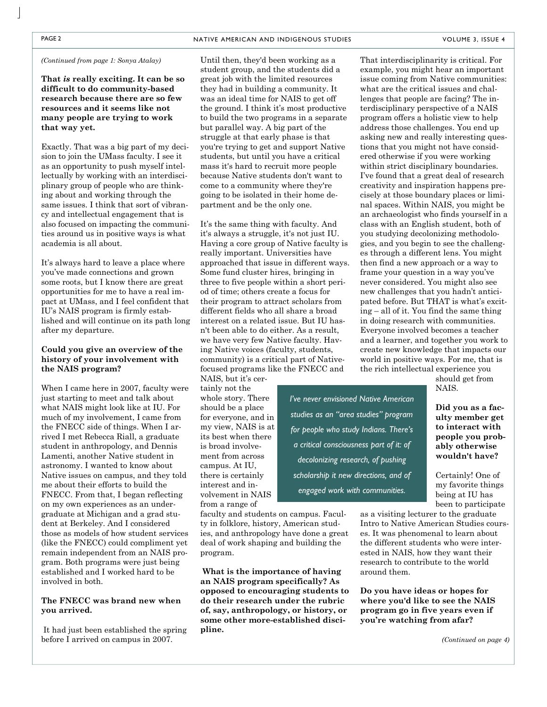**That** *is* **really exciting. It can be so difficult to do community-based research because there are so few resources and it seems like not many people are trying to work that way yet.** 

Exactly. That was a big part of my decision to join the UMass faculty. I see it as an opportunity to push myself intellectually by working with an interdisciplinary group of people who are thinking about and working through the same issues. I think that sort of vibrancy and intellectual engagement that is also focused on impacting the communities around us in positive ways is what academia is all about.

It's always hard to leave a place where you've made connections and grown some roots, but I know there are great opportunities for me to have a real impact at UMass, and I feel confident that IU's NAIS program is firmly established and will continue on its path long after my departure.

#### **Could you give an overview of the history of your involvement with the NAIS program?**

When I came here in 2007, faculty were just starting to meet and talk about what NAIS might look like at IU. For much of my involvement, I came from the FNECC side of things. When I arrived I met Rebecca Riall, a graduate student in anthropology, and Dennis Lamenti, another Native student in astronomy. I wanted to know about Native issues on campus, and they told me about their efforts to build the FNECC. From that, I began reflecting on my own experiences as an undergraduate at Michigan and a grad student at Berkeley. And I considered those as models of how student services (like the FNECC) could compliment yet remain independent from an NAIS program. Both programs were just being established and I worked hard to be involved in both.

### **The FNECC was brand new when you arrived.**

 It had just been established the spring before I arrived on campus in 2007.

*(Continued from page 1: Sonya Atalay)* Until then, they'd been working as a student group, and the students did a great job with the limited resources they had in building a community. It was an ideal time for NAIS to get off the ground. I think it's most productive to build the two programs in a separate but parallel way. A big part of the struggle at that early phase is that you're trying to get and support Native students, but until you have a critical mass it's hard to recruit more people because Native students don't want to come to a community where they're going to be isolated in their home department and be the only one.

> It's the same thing with faculty. And it's always a struggle, it's not just IU. Having a core group of Native faculty is really important. Universities have approached that issue in different ways. Some fund cluster hires, bringing in three to five people within a short period of time; others create a focus for their program to attract scholars from different fields who all share a broad interest on a related issue. But IU hasn't been able to do either. As a result, we have very few Native faculty. Having Native voices (faculty, students, community) is a critical part of Nativefocused programs like the FNECC and NAIS, but it's cer-

tainly not the whole story. There should be a place for everyone, and in my view, NAIS is at its best when there is broad involvement from across campus. At IU, there is certainly interest and involvement in NAIS from a range of

faculty and students on campus. Faculty in folklore, history, American studies, and anthropology have done a great deal of work shaping and building the program.

 **What is the importance of having an NAIS program specifically? As opposed to encouraging students to do their research under the rubric of, say, anthropology, or history, or some other more-established discipline.** 

That interdisciplinarity is critical. For example, you might hear an important issue coming from Native communities: what are the critical issues and challenges that people are facing? The interdisciplinary perspective of a NAIS program offers a holistic view to help address those challenges. You end up asking new and really interesting questions that you might not have considered otherwise if you were working within strict disciplinary boundaries. I've found that a great deal of research creativity and inspiration happens precisely at those boundary places or liminal spaces. Within NAIS, you might be an archaeologist who finds yourself in a class with an English student, both of you studying decolonizing methodologies, and you begin to see the challenges through a different lens. You might then find a new approach or a way to frame your question in a way you've never considered. You might also see new challenges that you hadn't anticipated before. But THAT is what's exciting – all of it. You find the same thing in doing research with communities. Everyone involved becomes a teacher and a learner, and together you work to create new knowledge that impacts our world in positive ways. For me, that is the rich intellectual experience you

should get from NAIS.

**Did you as a faculty member get to interact with people you probably otherwise wouldn't have?** 

Certainly! One of my favorite things being at IU has been to participate

as a visiting lecturer to the graduate Intro to Native American Studies courses. It was phenomenal to learn about the different students who were interested in NAIS, how they want their research to contribute to the world around them.

**Do you have ideas or hopes for where you'd like to see the NAIS program go in five years even if you're watching from afar?** 

*studies as an "area studies" program for people who study Indians. There's a critical consciousness part of it: of decolonizing research, of pushing scholarship it new directions, and of engaged work with communities.* 

*I've never envisioned Native American*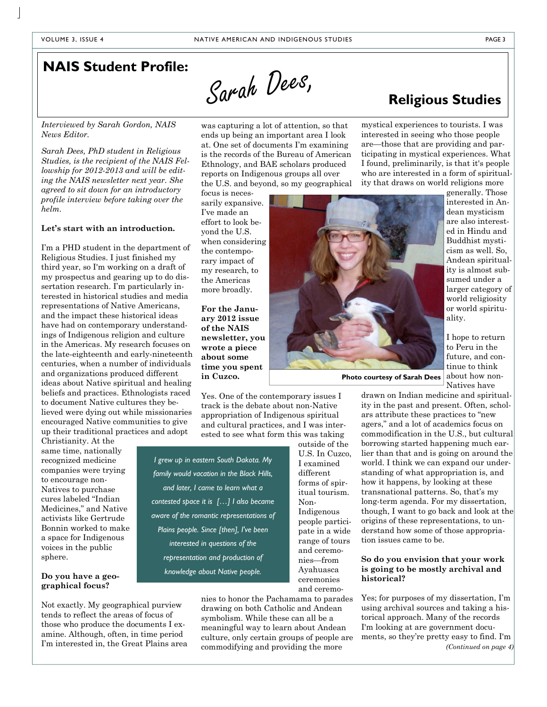### **NAIS Student Profile:**

Sarah Dees,

*Interviewed by Sarah Gordon, NAIS News Editor.* 

*Sarah Dees, PhD student in Religious Studies, is the recipient of the NAIS Fellowship for 2012-2013 and will be editing the NAIS newsletter next year. She agreed to sit down for an introductory profile interview before taking over the helm.* 

#### **Let's start with an introduction.**

I'm a PHD student in the department of Religious Studies. I just finished my third year, so I'm working on a draft of my prospectus and gearing up to do dissertation research. I'm particularly interested in historical studies and media representations of Native Americans, and the impact these historical ideas have had on contemporary understandings of Indigenous religion and culture in the Americas. My research focuses on the late-eighteenth and early-nineteenth centuries, when a number of individuals and organizations produced different ideas about Native spiritual and healing beliefs and practices. Ethnologists raced to document Native cultures they believed were dying out while missionaries encouraged Native communities to give up their traditional practices and adopt

Christianity. At the same time, nationally recognized medicine companies were trying to encourage non-Natives to purchase cures labeled "Indian Medicines," and Native activists like Gertrude Bonnin worked to make a space for Indigenous voices in the public sphere.

#### **Do you have a geographical focus?**

Not exactly. My geographical purview tends to reflect the areas of focus of those who produce the documents I examine. Although, often, in time period I'm interested in, the Great Plains area was capturing a lot of attention, so that ends up being an important area I look at. One set of documents I'm examining is the records of the Bureau of American Ethnology, and BAE scholars produced reports on Indigenous groups all over the U.S. and beyond, so my geographical

focus is necessarily expansive. I've made an effort to look beyond the U.S. when considering the contemporary impact of my research, to the Americas more broadly.

**For the January 2012 issue of the NAIS newsletter, you wrote a piece about some time you spent in Cuzco.** 

Yes. One of the contemporary issues I track is the debate about non-Native appropriation of Indigenous spiritual and cultural practices, and I was interested to see what form this was taking

*I grew up in eastern South Dakota. My family would vacation in the Black Hills, and later, I came to learn what a contested space it is […] I also became aware of the romantic representations of Plains people. Since [then], I've been interested in questions of the representation and production of knowledge about Native people.* 

> nies to honor the Pachamama to parades drawing on both Catholic and Andean symbolism. While these can all be a meaningful way to learn about Andean culture, only certain groups of people are commodifying and providing the more

outside of the U.S. In Cuzco, I examined different forms of spiritual tourism. Non-Indigenous people participate in a wide range of tours and ceremonies—from Ayahuasca ceremonies and ceremo-

## **Religious Studies**

mystical experiences to tourists. I was interested in seeing who those people are—those that are providing and participating in mystical experiences. What I found, preliminarily, is that it's people who are interested in a form of spirituality that draws on world religions more



interested in Andean mysticism are also interested in Hindu and Buddhist mysticism as well. So, Andean spirituality is almost subsumed under a larger category of world religiosity or world spirituality.

I hope to return to Peru in the future, and continue to think about how non-Natives have

**Photo courtesy of Sarah Dees** 

drawn on Indian medicine and spirituality in the past and present. Often, scholars attribute these practices to "new agers," and a lot of academics focus on commodification in the U.S., but cultural borrowing started happening much earlier than that and is going on around the world. I think we can expand our understanding of what appropriation is, and how it happens, by looking at these transnational patterns. So, that's my long-term agenda. For my dissertation, though, I want to go back and look at the origins of these representations, to understand how some of those appropriation issues came to be.

#### **So do you envision that your work is going to be mostly archival and historical?**

Yes; for purposes of my dissertation, I'm using archival sources and taking a historical approach. Many of the records I'm looking at are government documents, so they're pretty easy to find. I'm *(Continued on page 4)*